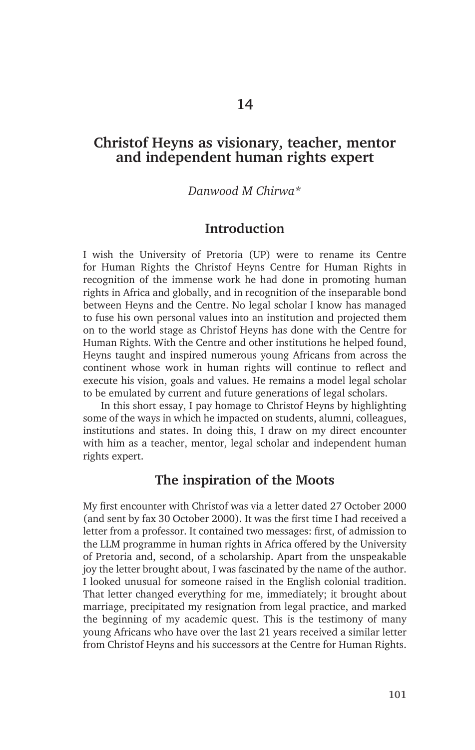# **Christof Heyns as visionary, teacher, mentor and independent human rights expert**

#### *Danwood M Chirwa\**

### **Introduction**

I wish the University of Pretoria (UP) were to rename its Centre for Human Rights the Christof Heyns Centre for Human Rights in recognition of the immense work he had done in promoting human rights in Africa and globally, and in recognition of the inseparable bond between Heyns and the Centre. No legal scholar I know has managed to fuse his own personal values into an institution and projected them on to the world stage as Christof Heyns has done with the Centre for Human Rights. With the Centre and other institutions he helped found, Heyns taught and inspired numerous young Africans from across the continent whose work in human rights will continue to reflect and execute his vision, goals and values. He remains a model legal scholar to be emulated by current and future generations of legal scholars.

In this short essay, I pay homage to Christof Heyns by highlighting some of the ways in which he impacted on students, alumni, colleagues, institutions and states. In doing this, I draw on my direct encounter with him as a teacher, mentor, legal scholar and independent human rights expert.

### **The inspiration of the Moots**

My first encounter with Christof was via a letter dated 27 October 2000 (and sent by fax 30 October 2000). It was the first time I had received a letter from a professor. It contained two messages: first, of admission to the LLM programme in human rights in Africa offered by the University of Pretoria and, second, of a scholarship. Apart from the unspeakable joy the letter brought about, I was fascinated by the name of the author. I looked unusual for someone raised in the English colonial tradition. That letter changed everything for me, immediately; it brought about marriage, precipitated my resignation from legal practice, and marked the beginning of my academic quest. This is the testimony of many young Africans who have over the last 21 years received a similar letter from Christof Heyns and his successors at the Centre for Human Rights.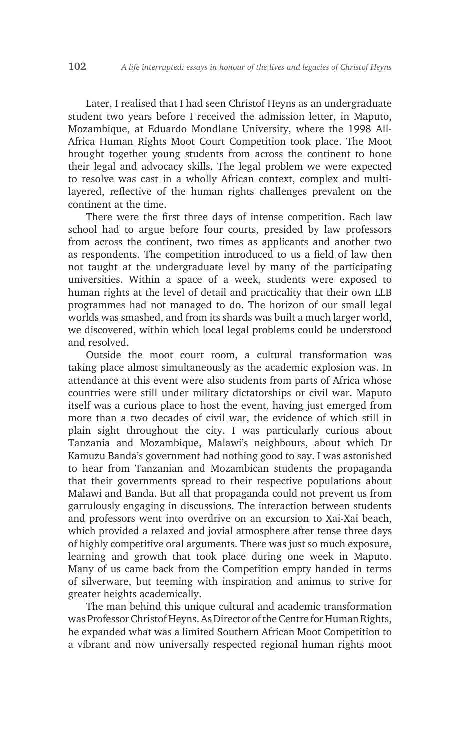Later, I realised that I had seen Christof Heyns as an undergraduate student two years before I received the admission letter, in Maputo, Mozambique, at Eduardo Mondlane University, where the 1998 All-Africa Human Rights Moot Court Competition took place. The Moot brought together young students from across the continent to hone their legal and advocacy skills. The legal problem we were expected to resolve was cast in a wholly African context, complex and multilayered, reflective of the human rights challenges prevalent on the continent at the time.

There were the first three days of intense competition. Each law school had to argue before four courts, presided by law professors from across the continent, two times as applicants and another two as respondents. The competition introduced to us a field of law then not taught at the undergraduate level by many of the participating universities. Within a space of a week, students were exposed to human rights at the level of detail and practicality that their own LLB programmes had not managed to do. The horizon of our small legal worlds was smashed, and from its shards was built a much larger world, we discovered, within which local legal problems could be understood and resolved.

Outside the moot court room, a cultural transformation was taking place almost simultaneously as the academic explosion was. In attendance at this event were also students from parts of Africa whose countries were still under military dictatorships or civil war. Maputo itself was a curious place to host the event, having just emerged from more than a two decades of civil war, the evidence of which still in plain sight throughout the city. I was particularly curious about Tanzania and Mozambique, Malawi's neighbours, about which Dr Kamuzu Banda's government had nothing good to say. I was astonished to hear from Tanzanian and Mozambican students the propaganda that their governments spread to their respective populations about Malawi and Banda. But all that propaganda could not prevent us from garrulously engaging in discussions. The interaction between students and professors went into overdrive on an excursion to Xai-Xai beach, which provided a relaxed and jovial atmosphere after tense three days of highly competitive oral arguments. There was just so much exposure, learning and growth that took place during one week in Maputo. Many of us came back from the Competition empty handed in terms of silverware, but teeming with inspiration and animus to strive for greater heights academically.

The man behind this unique cultural and academic transformation was Professor Christof Heyns. As Director of the Centre for Human Rights, he expanded what was a limited Southern African Moot Competition to a vibrant and now universally respected regional human rights moot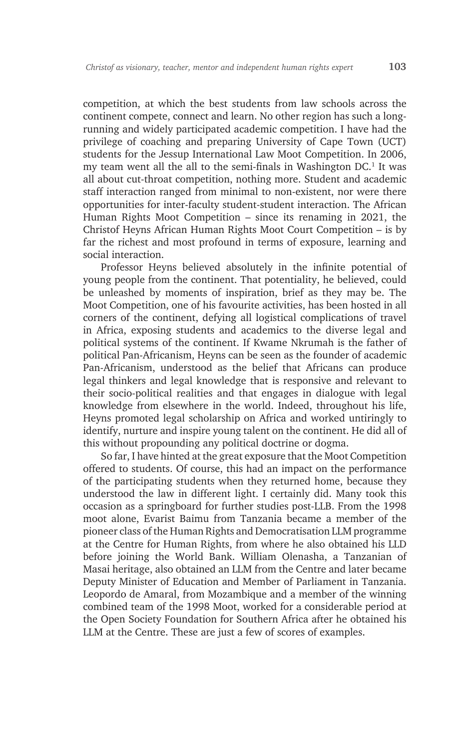competition, at which the best students from law schools across the continent compete, connect and learn. No other region has such a longrunning and widely participated academic competition. I have had the privilege of coaching and preparing University of Cape Town (UCT) students for the Jessup International Law Moot Competition. In 2006, my team went all the all to the semi-finals in Washington DC.<sup>1</sup> It was all about cut-throat competition, nothing more. Student and academic staff interaction ranged from minimal to non-existent, nor were there opportunities for inter-faculty student-student interaction. The African Human Rights Moot Competition – since its renaming in 2021, the Christof Heyns African Human Rights Moot Court Competition – is by far the richest and most profound in terms of exposure, learning and social interaction.

Professor Heyns believed absolutely in the infinite potential of young people from the continent. That potentiality, he believed, could be unleashed by moments of inspiration, brief as they may be. The Moot Competition, one of his favourite activities, has been hosted in all corners of the continent, defying all logistical complications of travel in Africa, exposing students and academics to the diverse legal and political systems of the continent. If Kwame Nkrumah is the father of political Pan-Africanism, Heyns can be seen as the founder of academic Pan-Africanism, understood as the belief that Africans can produce legal thinkers and legal knowledge that is responsive and relevant to their socio-political realities and that engages in dialogue with legal knowledge from elsewhere in the world. Indeed, throughout his life, Heyns promoted legal scholarship on Africa and worked untiringly to identify, nurture and inspire young talent on the continent. He did all of this without propounding any political doctrine or dogma.

So far, I have hinted at the great exposure that the Moot Competition offered to students. Of course, this had an impact on the performance of the participating students when they returned home, because they understood the law in different light. I certainly did. Many took this occasion as a springboard for further studies post-LLB. From the 1998 moot alone, Evarist Baimu from Tanzania became a member of the pioneer class of the Human Rights and Democratisation LLM programme at the Centre for Human Rights, from where he also obtained his LLD before joining the World Bank. William Olenasha, a Tanzanian of Masai heritage, also obtained an LLM from the Centre and later became Deputy Minister of Education and Member of Parliament in Tanzania. Leopordo de Amaral, from Mozambique and a member of the winning combined team of the 1998 Moot, worked for a considerable period at the Open Society Foundation for Southern Africa after he obtained his LLM at the Centre. These are just a few of scores of examples.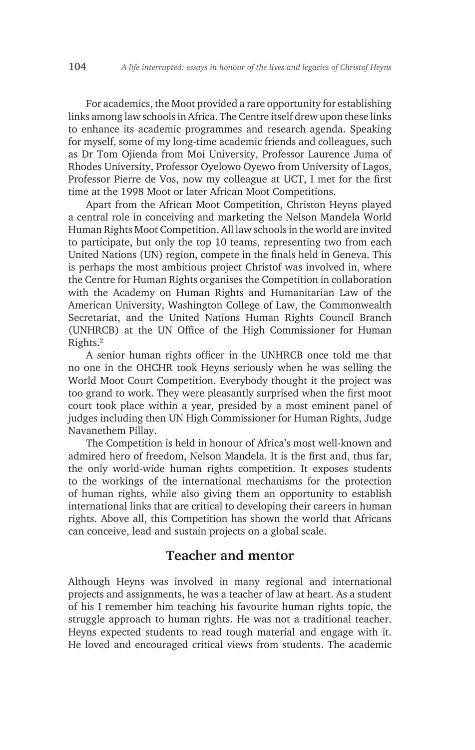For academics, the Moot provided a rare opportunity for establishing links among law schools in Africa. The Centre itself drew upon these links to enhance its academic programmes and research agenda. Speaking for myself, some of my long-time academic friends and colleagues, such as Dr Tom Ojienda from Moi University, Professor Laurence Juma of Rhodes University, Professor Oyelowo Oyewo from University of Lagos, Professor Pierre de Vos, now my colleague at UCT, I met for the first time at the 1998 Moot or later African Moot Competitions.

Apart from the African Moot Competition, Christon Heyns played a central role in conceiving and marketing the Nelson Mandela World Human Rights Moot Competition. All law schools in the world are invited to participate, but only the top 10 teams, representing two from each United Nations (UN) region, compete in the finals held in Geneva. This is perhaps the most ambitious project Christof was involved in, where the Centre for Human Rights organises the Competition in collaboration with the Academy on Human Rights and Humanitarian Law of the American University, Washington College of Law, the Commonwealth Secretariat, and the United Nations Human Rights Council Branch (UNHRCB) at the UN Office of the High Commissioner for Human Rights.<sup>2</sup>

A senior human rights officer in the UNHRCB once told me that no one in the OHCHR took Heyns seriously when he was selling the World Moot Court Competition. Everybody thought it the project was too grand to work. They were pleasantly surprised when the first moot court took place within a year, presided by a most eminent panel of judges including then UN High Commissioner for Human Rights, Judge Navanethem Pillay.

The Competition is held in honour of Africa's most well-known and admired hero of freedom, Nelson Mandela. It is the first and, thus far, the only world-wide human rights competition. It exposes students to the workings of the international mechanisms for the protection of human rights, while also giving them an opportunity to establish international links that are critical to developing their careers in human rights. Above all, this Competition has shown the world that Africans can conceive, lead and sustain projects on a global scale.

## **Teacher and mentor**

Although Heyns was involved in many regional and international projects and assignments, he was a teacher of law at heart. As a student of his I remember him teaching his favourite human rights topic, the struggle approach to human rights. He was not a traditional teacher. Heyns expected students to read tough material and engage with it. He loved and encouraged critical views from students. The academic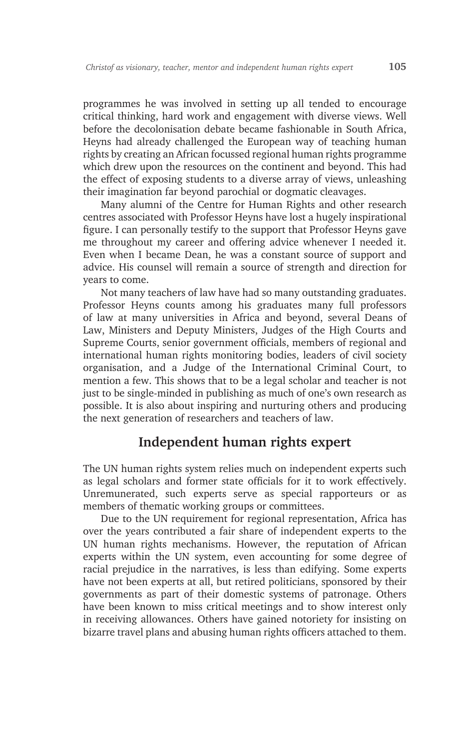programmes he was involved in setting up all tended to encourage critical thinking, hard work and engagement with diverse views. Well before the decolonisation debate became fashionable in South Africa, Heyns had already challenged the European way of teaching human rights by creating an African focussed regional human rights programme which drew upon the resources on the continent and beyond. This had the effect of exposing students to a diverse array of views, unleashing their imagination far beyond parochial or dogmatic cleavages.

Many alumni of the Centre for Human Rights and other research centres associated with Professor Heyns have lost a hugely inspirational figure. I can personally testify to the support that Professor Heyns gave me throughout my career and offering advice whenever I needed it. Even when I became Dean, he was a constant source of support and advice. His counsel will remain a source of strength and direction for years to come.

Not many teachers of law have had so many outstanding graduates. Professor Heyns counts among his graduates many full professors of law at many universities in Africa and beyond, several Deans of Law, Ministers and Deputy Ministers, Judges of the High Courts and Supreme Courts, senior government officials, members of regional and international human rights monitoring bodies, leaders of civil society organisation, and a Judge of the International Criminal Court, to mention a few. This shows that to be a legal scholar and teacher is not just to be single-minded in publishing as much of one's own research as possible. It is also about inspiring and nurturing others and producing the next generation of researchers and teachers of law.

# **Independent human rights expert**

The UN human rights system relies much on independent experts such as legal scholars and former state officials for it to work effectively. Unremunerated, such experts serve as special rapporteurs or as members of thematic working groups or committees.

Due to the UN requirement for regional representation, Africa has over the years contributed a fair share of independent experts to the UN human rights mechanisms. However, the reputation of African experts within the UN system, even accounting for some degree of racial prejudice in the narratives, is less than edifying. Some experts have not been experts at all, but retired politicians, sponsored by their governments as part of their domestic systems of patronage. Others have been known to miss critical meetings and to show interest only in receiving allowances. Others have gained notoriety for insisting on bizarre travel plans and abusing human rights officers attached to them.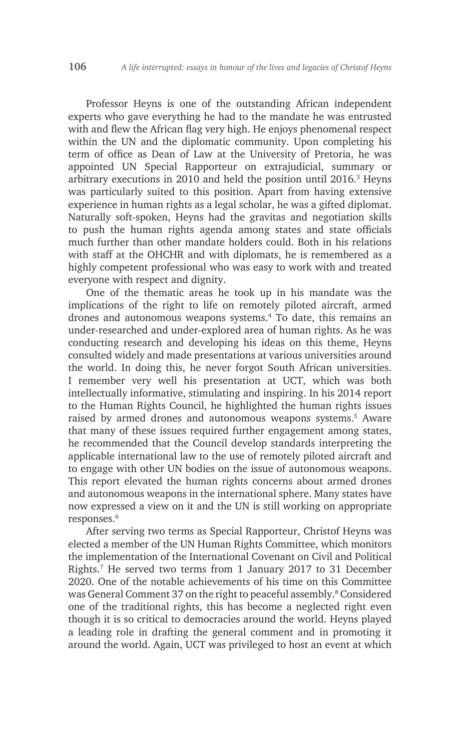Professor Heyns is one of the outstanding African independent experts who gave everything he had to the mandate he was entrusted with and flew the African flag very high. He enjoys phenomenal respect within the UN and the diplomatic community. Upon completing his term of office as Dean of Law at the University of Pretoria, he was appointed UN Special Rapporteur on extrajudicial, summary or arbitrary executions in 2010 and held the position until 2016.<sup>3</sup> Heyns was particularly suited to this position. Apart from having extensive experience in human rights as a legal scholar, he was a gifted diplomat. Naturally soft-spoken, Heyns had the gravitas and negotiation skills to push the human rights agenda among states and state officials much further than other mandate holders could. Both in his relations with staff at the OHCHR and with diplomats, he is remembered as a highly competent professional who was easy to work with and treated everyone with respect and dignity.

One of the thematic areas he took up in his mandate was the implications of the right to life on remotely piloted aircraft, armed drones and autonomous weapons systems.4 To date, this remains an under-researched and under-explored area of human rights. As he was conducting research and developing his ideas on this theme, Heyns consulted widely and made presentations at various universities around the world. In doing this, he never forgot South African universities. I remember very well his presentation at UCT, which was both intellectually informative, stimulating and inspiring. In his 2014 report to the Human Rights Council, he highlighted the human rights issues raised by armed drones and autonomous weapons systems.5 Aware that many of these issues required further engagement among states, he recommended that the Council develop standards interpreting the applicable international law to the use of remotely piloted aircraft and to engage with other UN bodies on the issue of autonomous weapons. This report elevated the human rights concerns about armed drones and autonomous weapons in the international sphere. Many states have now expressed a view on it and the UN is still working on appropriate responses.<sup>6</sup>

After serving two terms as Special Rapporteur, Christof Heyns was elected a member of the UN Human Rights Committee, which monitors the implementation of the International Covenant on Civil and Political Rights.<sup>7</sup> He served two terms from 1 January 2017 to 31 December 2020. One of the notable achievements of his time on this Committee was General Comment 37 on the right to peaceful assembly.<sup>8</sup> Considered one of the traditional rights, this has become a neglected right even though it is so critical to democracies around the world. Heyns played a leading role in drafting the general comment and in promoting it around the world. Again, UCT was privileged to host an event at which